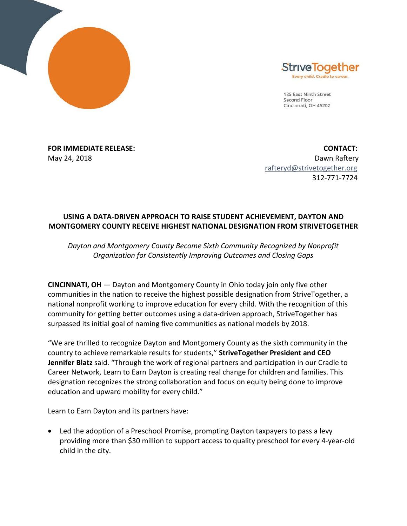



125 East Ninth Street Second Floor Cincinnati, OH 45202

**FOR IMMEDIATE RELEASE: CONTACT:** May 24, 2018 Dawn Raftery [rafteryd@strivetogether.org](mailto:rafteryd@strivetogether.org) 312-771-7724

## **USING A DATA-DRIVEN APPROACH TO RAISE STUDENT ACHIEVEMENT, DAYTON AND MONTGOMERY COUNTY RECEIVE HIGHEST NATIONAL DESIGNATION FROM STRIVETOGETHER**

## *Dayton and Montgomery County Become Sixth Community Recognized by Nonprofit Organization for Consistently Improving Outcomes and Closing Gaps*

**CINCINNATI, OH** — Dayton and Montgomery County in Ohio today join only five other communities in the nation to receive the highest possible designation from StriveTogether, a national nonprofit working to improve education for every child. With the recognition of this community for getting better outcomes using a data-driven approach, StriveTogether has surpassed its initial goal of naming five communities as national models by 2018.

"We are thrilled to recognize Dayton and Montgomery County as the sixth community in the country to achieve remarkable results for students," **StriveTogether President and CEO Jennifer Blatz** said. "Through the work of regional partners and participation in our Cradle to Career Network, Learn to Earn Dayton is creating real change for children and families. This designation recognizes the strong collaboration and focus on equity being done to improve education and upward mobility for every child."

Learn to Earn Dayton and its partners have:

• Led the adoption of a Preschool Promise, prompting Dayton taxpayers to pass a levy providing more than \$30 million to support access to quality preschool for every 4-year-old child in the city.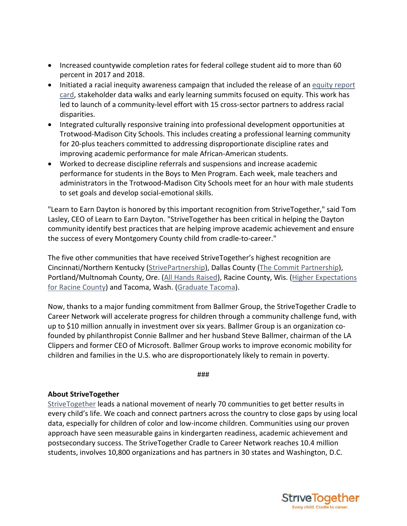- Increased countywide completion rates for federal college student aid to more than 60 percent in 2017 and 2018.
- Initiated a racial inequity awareness campaign that included the release of an [equity report](https://learntoearndayton.org/wp-content/uploads/2017/02/L2ED17_equity-report_1-27-17_web.pdf)  [card,](https://learntoearndayton.org/wp-content/uploads/2017/02/L2ED17_equity-report_1-27-17_web.pdf) stakeholder data walks and early learning summits focused on equity. This work has led to launch of a community-level effort with 15 cross-sector partners to address racial disparities.
- Integrated culturally responsive training into professional development opportunities at Trotwood-Madison City Schools. This includes creating a professional learning community for 20-plus teachers committed to addressing disproportionate discipline rates and improving academic performance for male African-American students.
- Worked to decrease discipline referrals and suspensions and increase academic performance for students in the Boys to Men Program. Each week, male teachers and administrators in the Trotwood-Madison City Schools meet for an hour with male students to set goals and develop social-emotional skills.

"Learn to Earn Dayton is honored by this important recognition from StriveTogether," said Tom Lasley, CEO of Learn to Earn Dayton. "StriveTogether has been critical in helping the Dayton community identify best practices that are helping improve academic achievement and ensure the success of every Montgomery County child from cradle-to-career."

The five other communities that have received StriveTogether's highest recognition are Cincinnati/Northern Kentucky [\(StrivePartnership\)](https://www.strivetogether.org/news/greater-cincinnati-recognized-for-improving-outcomes-for-students-across-region/), Dallas County [\(The Commit Partnership\)](https://www.strivetogether.org/news/strivetogether-recognizes-dallas-county-raising-student-achievement/), Portland/Multnomah County, Ore. [\(All Hands Raised\)](https://www.strivetogether.org/news/multnomah-county-receives-highest-designation-student-success/), Racine County, Wis. [\(Higher Expectations](https://www.strivetogether.org/news/racine-county-recognized-raising-student-achievement-across-region/)  [for Racine County\)](https://www.strivetogether.org/news/racine-county-recognized-raising-student-achievement-across-region/) and Tacoma, Wash. [\(Graduate Tacoma\)](https://www.strivetogether.org/news/graduate-tacoma-receives-highest-strivetogether-national-designation-increasing-student-achievement/).

Now, thanks to a major funding commitment from Ballmer Group, the StriveTogether Cradle to Career Network will accelerate progress for children through a community challenge fund, with up to \$10 million annually in investment over six years. Ballmer Group is an organization cofounded by philanthropist Connie Ballmer and her husband Steve Ballmer, chairman of the LA Clippers and former CEO of Microsoft. Ballmer Group works to improve economic mobility for children and families in the U.S. who are disproportionately likely to remain in poverty.

###

## **About StriveTogether**

[StriveTogether](http://www.strivetogether.org/) leads a national movement of nearly 70 communities to get better results in every child's life. We coach and connect partners across the country to close gaps by using local data, especially for children of color and low-income children. Communities using our proven approach have seen measurable gains in kindergarten readiness, academic achievement and postsecondary success. The StriveTogether Cradle to Career Network reaches 10.4 million students, involves 10,800 organizations and has partners in 30 states and Washington, D.C.